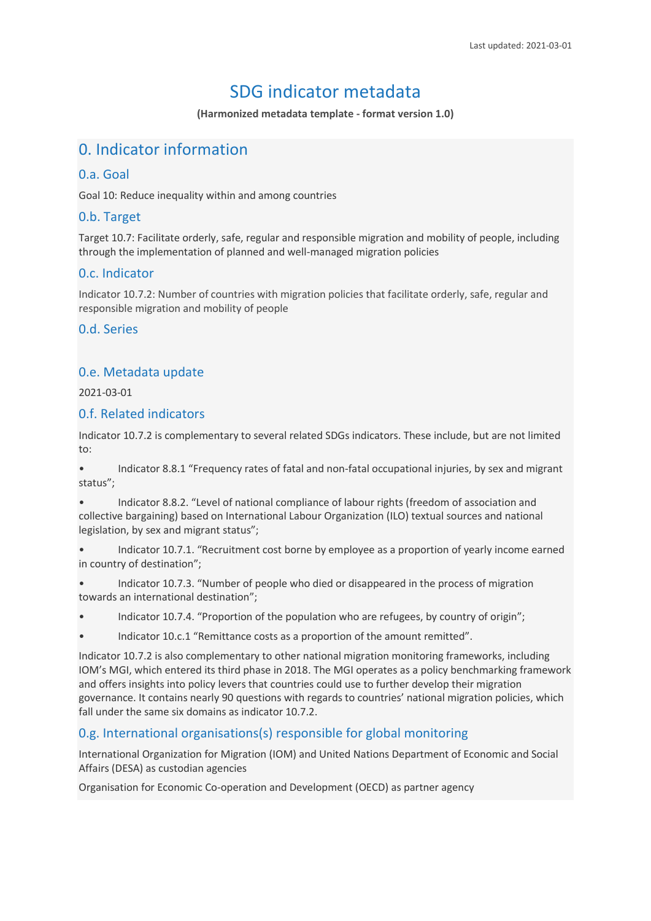# SDG indicator metadata

**(Harmonized metadata template - format version 1.0)**

# 0. Indicator information

### 0.a. Goal

Goal 10: Reduce inequality within and among countries

## 0.b. Target

Target 10.7: Facilitate orderly, safe, regular and responsible migration and mobility of people, including through the implementation of planned and well-managed migration policies

## 0.c. Indicator

Indicator 10.7.2: Number of countries with migration policies that facilitate orderly, safe, regular and responsible migration and mobility of people

0.d. Series

## 0.e. Metadata update

2021-03-01

## 0.f. Related indicators

Indicator 10.7.2 is complementary to several related SDGs indicators. These include, but are not limited to:

• Indicator 8.8.1 "Frequency rates of fatal and non-fatal occupational injuries, by sex and migrant status";

• Indicator 8.8.2. "Level of national compliance of labour rights (freedom of association and collective bargaining) based on International Labour Organization (ILO) textual sources and national legislation, by sex and migrant status";

- Indicator 10.7.1. "Recruitment cost borne by employee as a proportion of yearly income earned in country of destination";
- Indicator 10.7.3. "Number of people who died or disappeared in the process of migration towards an international destination";
- Indicator 10.7.4. "Proportion of the population who are refugees, by country of origin";
- Indicator 10.c.1 "Remittance costs as a proportion of the amount remitted".

Indicator 10.7.2 is also complementary to other national migration monitoring frameworks, including IOM's MGI, which entered its third phase in 2018. The MGI operates as a policy benchmarking framework and offers insights into policy levers that countries could use to further develop their migration governance. It contains nearly 90 questions with regards to countries' national migration policies, which fall under the same six domains as indicator 10.7.2.

## 0.g. International organisations(s) responsible for global monitoring

International Organization for Migration (IOM) and United Nations Department of Economic and Social Affairs (DESA) as custodian agencies

Organisation for Economic Co-operation and Development (OECD) as partner agency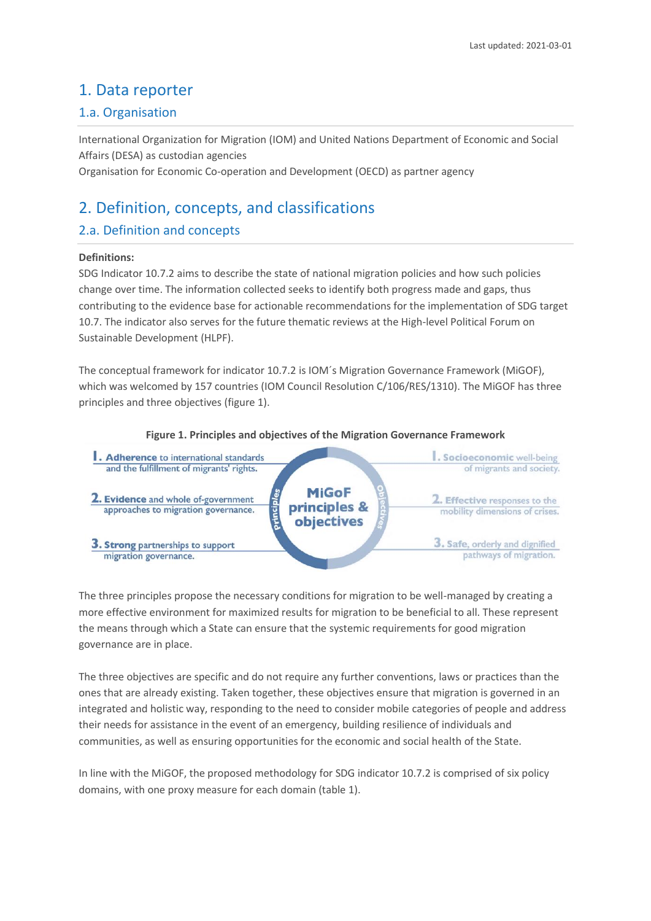## 1. Data reporter

## 1.a. Organisation

International Organization for Migration (IOM) and United Nations Department of Economic and Social Affairs (DESA) as custodian agencies

Organisation for Economic Co-operation and Development (OECD) as partner agency

# 2. Definition, concepts, and classifications

## 2.a. Definition and concepts

#### **Definitions:**

SDG Indicator 10.7.2 aims to describe the state of national migration policies and how such policies change over time. The information collected seeks to identify both progress made and gaps, thus contributing to the evidence base for actionable recommendations for the implementation of SDG target 10.7. The indicator also serves for the future thematic reviews at the High-level Political Forum on Sustainable Development (HLPF).

The conceptual framework for indicator 10.7.2 is IOM´s Migration Governance Framework (MiGOF), which was welcomed by 157 countries (IOM Council Resolution C/106/RES/1310). The MiGOF has three principles and three objectives (figure 1).



The three principles propose the necessary conditions for migration to be well-managed by creating a more effective environment for maximized results for migration to be beneficial to all. These represent the means through which a State can ensure that the systemic requirements for good migration governance are in place.

The three objectives are specific and do not require any further conventions, laws or practices than the ones that are already existing. Taken together, these objectives ensure that migration is governed in an integrated and holistic way, responding to the need to consider mobile categories of people and address their needs for assistance in the event of an emergency, building resilience of individuals and communities, as well as ensuring opportunities for the economic and social health of the State.

In line with the MiGOF, the proposed methodology for SDG indicator 10.7.2 is comprised of six policy domains, with one proxy measure for each domain (table 1).

#### **Figure 1. Principles and objectives of the Migration Governance Framework**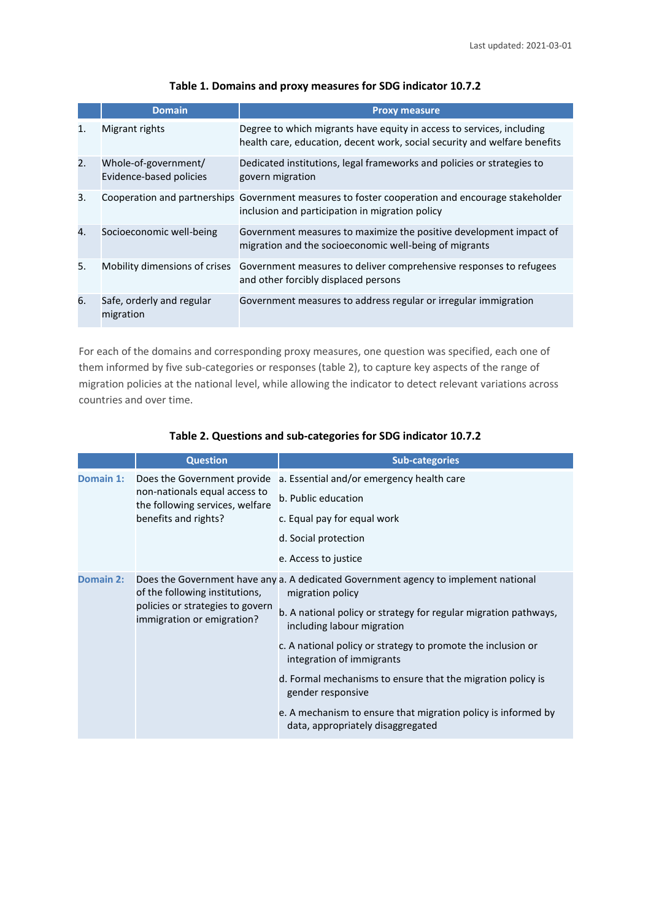|    | <b>Domain</b>                                   | <b>Proxy measure</b>                                                                                                                               |  |  |
|----|-------------------------------------------------|----------------------------------------------------------------------------------------------------------------------------------------------------|--|--|
| 1. | Migrant rights                                  | Degree to which migrants have equity in access to services, including<br>health care, education, decent work, social security and welfare benefits |  |  |
| 2. | Whole-of-government/<br>Evidence-based policies | Dedicated institutions, legal frameworks and policies or strategies to<br>govern migration                                                         |  |  |
| 3. | Cooperation and partnerships                    | Government measures to foster cooperation and encourage stakeholder<br>inclusion and participation in migration policy                             |  |  |
| 4. | Socioeconomic well-being                        | Government measures to maximize the positive development impact of<br>migration and the socioeconomic well-being of migrants                       |  |  |
| 5. | Mobility dimensions of crises                   | Government measures to deliver comprehensive responses to refugees<br>and other forcibly displaced persons                                         |  |  |
| 6. | Safe, orderly and regular<br>migration          | Government measures to address regular or irregular immigration                                                                                    |  |  |

#### **Table 1. Domains and proxy measures for SDG indicator 10.7.2**

For each of the domains and corresponding proxy measures, one question was specified, each one of them informed by five sub-categories or responses (table 2), to capture key aspects of the range of migration policies at the national level, while allowing the indicator to detect relevant variations across countries and over time.

#### **Table 2. Questions and sub-categories for SDG indicator 10.7.2**

|           | <b>Question</b>                                                                                                         | <b>Sub-categories</b>                                                                                   |
|-----------|-------------------------------------------------------------------------------------------------------------------------|---------------------------------------------------------------------------------------------------------|
| Domain 1: | Does the Government provide<br>non-nationals equal access to<br>the following services, welfare<br>benefits and rights? | a. Essential and/or emergency health care                                                               |
|           |                                                                                                                         | b. Public education                                                                                     |
|           |                                                                                                                         | c. Equal pay for equal work                                                                             |
|           |                                                                                                                         | d. Social protection                                                                                    |
|           |                                                                                                                         | e. Access to justice                                                                                    |
| Domain 2: | of the following institutions,                                                                                          | Does the Government have any a. A dedicated Government agency to implement national<br>migration policy |
|           | policies or strategies to govern<br>immigration or emigration?                                                          | b. A national policy or strategy for regular migration pathways,<br>including labour migration          |
|           |                                                                                                                         | c. A national policy or strategy to promote the inclusion or<br>integration of immigrants               |
|           |                                                                                                                         | d. Formal mechanisms to ensure that the migration policy is<br>gender responsive                        |
|           |                                                                                                                         | e. A mechanism to ensure that migration policy is informed by<br>data, appropriately disaggregated      |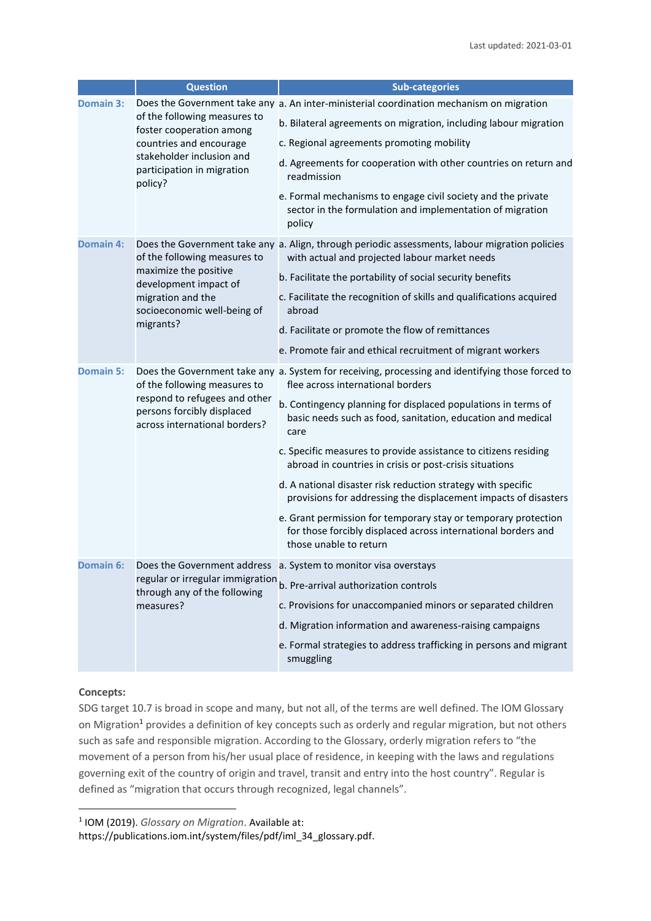|                  | <b>Question</b>                                                                                                                                           | <b>Sub-categories</b>                                                                                                                                     |
|------------------|-----------------------------------------------------------------------------------------------------------------------------------------------------------|-----------------------------------------------------------------------------------------------------------------------------------------------------------|
| Domain 3:        | of the following measures to<br>foster cooperation among<br>countries and encourage<br>stakeholder inclusion and<br>participation in migration<br>policy? | Does the Government take any a. An inter-ministerial coordination mechanism on migration                                                                  |
|                  |                                                                                                                                                           | b. Bilateral agreements on migration, including labour migration                                                                                          |
|                  |                                                                                                                                                           | c. Regional agreements promoting mobility                                                                                                                 |
|                  |                                                                                                                                                           | d. Agreements for cooperation with other countries on return and<br>readmission                                                                           |
|                  |                                                                                                                                                           | e. Formal mechanisms to engage civil society and the private<br>sector in the formulation and implementation of migration<br>policy                       |
| Domain 4:        | of the following measures to<br>maximize the positive<br>development impact of                                                                            | Does the Government take any a. Align, through periodic assessments, labour migration policies<br>with actual and projected labour market needs           |
|                  |                                                                                                                                                           | b. Facilitate the portability of social security benefits                                                                                                 |
|                  | migration and the<br>socioeconomic well-being of                                                                                                          | c. Facilitate the recognition of skills and qualifications acquired<br>abroad                                                                             |
|                  | migrants?                                                                                                                                                 | d. Facilitate or promote the flow of remittances                                                                                                          |
|                  |                                                                                                                                                           | e. Promote fair and ethical recruitment of migrant workers                                                                                                |
| <b>Domain 5:</b> | of the following measures to                                                                                                                              | Does the Government take any a. System for receiving, processing and identifying those forced to<br>flee across international borders                     |
|                  | respond to refugees and other<br>persons forcibly displaced<br>across international borders?                                                              | b. Contingency planning for displaced populations in terms of<br>basic needs such as food, sanitation, education and medical<br>care                      |
|                  |                                                                                                                                                           | c. Specific measures to provide assistance to citizens residing<br>abroad in countries in crisis or post-crisis situations                                |
|                  |                                                                                                                                                           | d. A national disaster risk reduction strategy with specific<br>provisions for addressing the displacement impacts of disasters                           |
|                  |                                                                                                                                                           | e. Grant permission for temporary stay or temporary protection<br>for those forcibly displaced across international borders and<br>those unable to return |
| Domain 6:        |                                                                                                                                                           | Does the Government address a. System to monitor visa overstays                                                                                           |
|                  | through any of the following                                                                                                                              | regular or irregular immigration b. Pre-arrival authorization controls                                                                                    |
|                  | measures?                                                                                                                                                 | c. Provisions for unaccompanied minors or separated children                                                                                              |
|                  |                                                                                                                                                           | d. Migration information and awareness-raising campaigns                                                                                                  |
|                  |                                                                                                                                                           | e. Formal strategies to address trafficking in persons and migrant<br>smuggling                                                                           |

#### **Concepts:**

SDG target 10.7 is broad in scope and many, but not all, of the terms are well defined. The IOM Glossary on Migration<sup>1</sup> provides a definition of key concepts such as orderly and regular migration, but not others such as safe and responsible migration. According to the Glossary, orderly migration refers to "the movement of a person from his/her usual place of residence, in keeping with the laws and regulations governing exit of the country of origin and travel, transit and entry into the host country". Regular is defined as "migration that occurs through recognized, legal channels".

<sup>1</sup> IOM (2019). *Glossary on Migration*. Available at:

https://publications.iom.int/system/files/pdf/iml\_34\_glossary.pdf.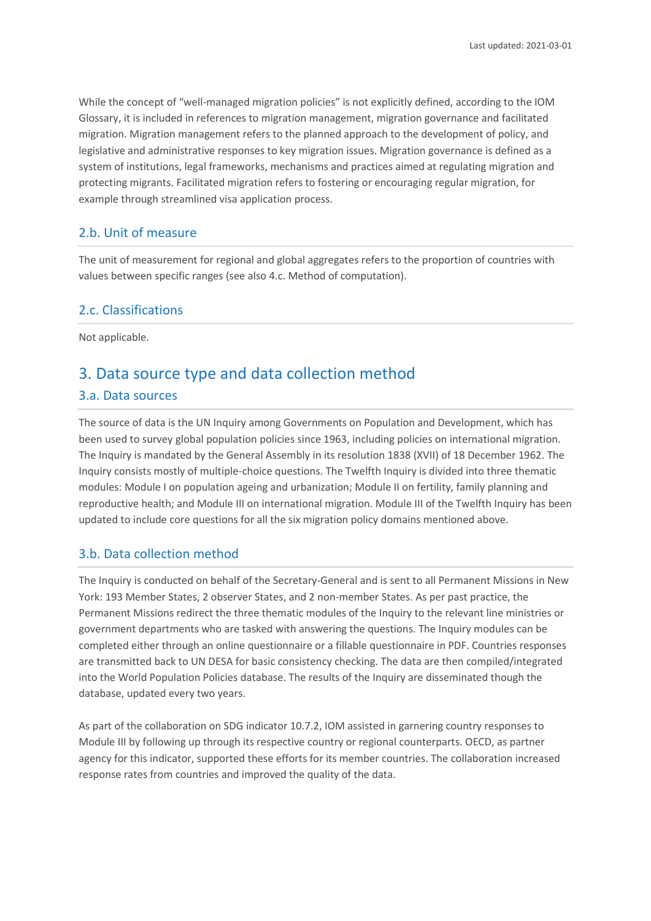While the concept of "well-managed migration policies" is not explicitly defined, according to the IOM Glossary, it is included in references to migration management, migration governance and facilitated migration. Migration management refers to the planned approach to the development of policy, and legislative and administrative responses to key migration issues. Migration governance is defined as a system of institutions, legal frameworks, mechanisms and practices aimed at regulating migration and protecting migrants. Facilitated migration refers to fostering or encouraging regular migration, for example through streamlined visa application process.

## 2.b. Unit of measure

The unit of measurement for regional and global aggregates refers to the proportion of countries with values between specific ranges (see also 4.c. Method of computation).

### 2.c. Classifications

Not applicable.

## 3. Data source type and data collection method

#### 3.a. Data sources

The source of data is the UN Inquiry among Governments on Population and Development, which has been used to survey global population policies since 1963, including policies on international migration. The Inquiry is mandated by the General Assembly in its resolution 1838 (XVII) of 18 December 1962. The Inquiry consists mostly of multiple-choice questions. The Twelfth Inquiry is divided into three thematic modules: Module I on population ageing and urbanization; Module II on fertility, family planning and reproductive health; and Module III on international migration. Module III of the Twelfth Inquiry has been updated to include core questions for all the six migration policy domains mentioned above.

### 3.b. Data collection method

The Inquiry is conducted on behalf of the Secretary-General and is sent to all Permanent Missions in New York: 193 Member States, 2 observer States, and 2 non-member States. As per past practice, the Permanent Missions redirect the three thematic modules of the Inquiry to the relevant line ministries or government departments who are tasked with answering the questions. The Inquiry modules can be completed either through an online questionnaire or a fillable questionnaire in PDF. Countries responses are transmitted back to UN DESA for basic consistency checking. The data are then compiled/integrated into the World Population Policies database. The results of the Inquiry are disseminated though the database, updated every two years.

As part of the collaboration on SDG indicator 10.7.2, IOM assisted in garnering country responses to Module III by following up through its respective country or regional counterparts. OECD, as partner agency for this indicator, supported these efforts for its member countries. The collaboration increased response rates from countries and improved the quality of the data.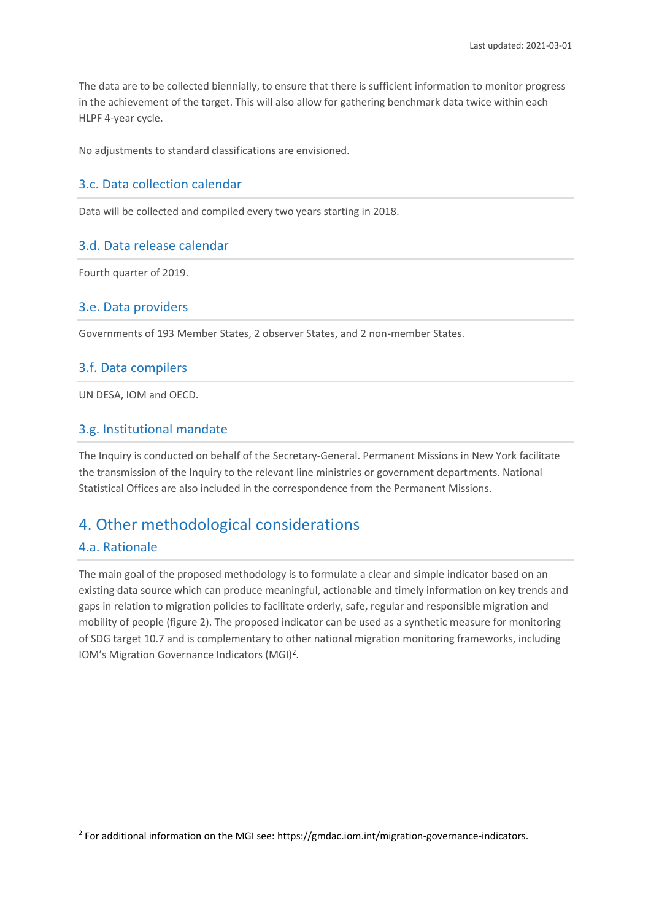The data are to be collected biennially, to ensure that there is sufficient information to monitor progress in the achievement of the target. This will also allow for gathering benchmark data twice within each HLPF 4-year cycle.

No adjustments to standard classifications are envisioned.

## 3.c. Data collection calendar

Data will be collected and compiled every two years starting in 2018.

#### 3.d. Data release calendar

Fourth quarter of 2019.

#### 3.e. Data providers

Governments of 193 Member States, 2 observer States, and 2 non-member States.

#### 3.f. Data compilers

UN DESA, IOM and OECD.

#### 3.g. Institutional mandate

The Inquiry is conducted on behalf of the Secretary-General. Permanent Missions in New York facilitate the transmission of the Inquiry to the relevant line ministries or government departments. National Statistical Offices are also included in the correspondence from the Permanent Missions.

## 4. Other methodological considerations

## 4.a. Rationale

The main goal of the proposed methodology is to formulate a clear and simple indicator based on an existing data source which can produce meaningful, actionable and timely information on key trends and gaps in relation to migration policies to facilitate orderly, safe, regular and responsible migration and mobility of people (figure 2). The proposed indicator can be used as a synthetic measure for monitoring of SDG target 10.7 and is complementary to other national migration monitoring frameworks, including IOM's Migration Governance Indicators (MGI)<sup>2</sup>.

 $<sup>2</sup>$  For additional information on the MGI see: https://gmdac.iom.int/migration-governance-indicators.</sup>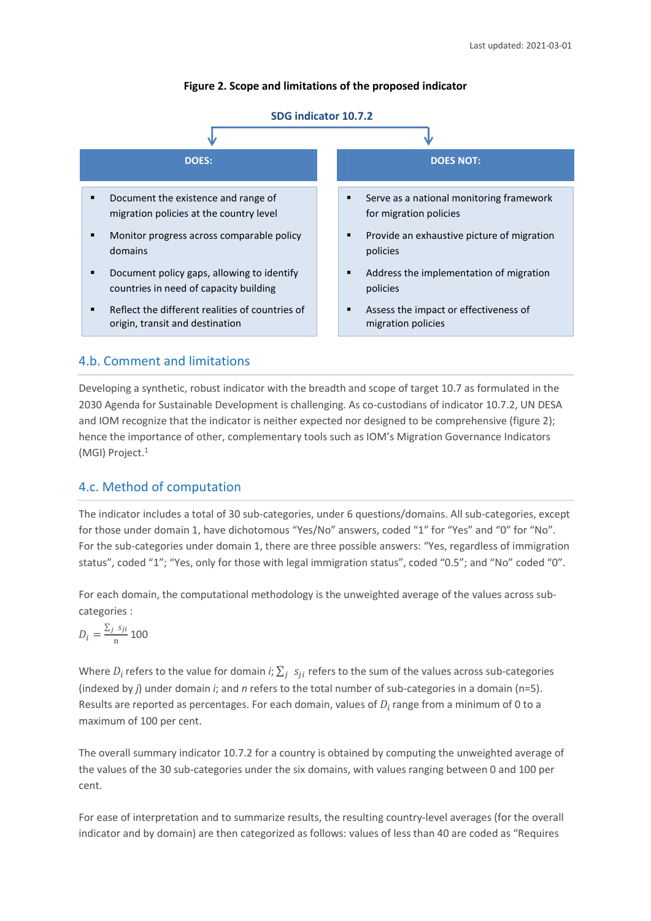#### **Figure 2. Scope and limitations of the proposed indicator**



### 4.b. Comment and limitations

Developing a synthetic, robust indicator with the breadth and scope of target 10.7 as formulated in the 2030 Agenda for Sustainable Development is challenging. As co-custodians of indicator 10.7.2, UN DESA and IOM recognize that the indicator is neither expected nor designed to be comprehensive (figure 2); hence the importance of other, complementary tools such as IOM's Migration Governance Indicators (MGI) Project.<sup>1</sup>

### 4.c. Method of computation

The indicator includes a total of 30 sub-categories, under 6 questions/domains. All sub-categories, except for those under domain 1, have dichotomous "Yes/No" answers, coded "1" for "Yes" and "0" for "No". For the sub-categories under domain 1, there are three possible answers: "Yes, regardless of immigration status", coded "1"; "Yes, only for those with legal immigration status", coded "0.5"; and "No" coded "0".

For each domain, the computational methodology is the unweighted average of the values across subcategories :

$$
D_i = \frac{\sum_j s_{ji}}{n} 100
$$

Where  $D_i$  refers to the value for domain *i*;  $\sum_j s_{ji}$  refers to the sum of the values across sub-categories (indexed by *j*) under domain *i*; and *n* refers to the total number of sub-categories in a domain (n=5). Results are reported as percentages. For each domain, values of  $D_i$  range from a minimum of 0 to a maximum of 100 per cent.

The overall summary indicator 10.7.2 for a country is obtained by computing the unweighted average of the values of the 30 sub-categories under the six domains, with values ranging between 0 and 100 per cent.

For ease of interpretation and to summarize results, the resulting country-level averages (for the overall indicator and by domain) are then categorized as follows: values of less than 40 are coded as "Requires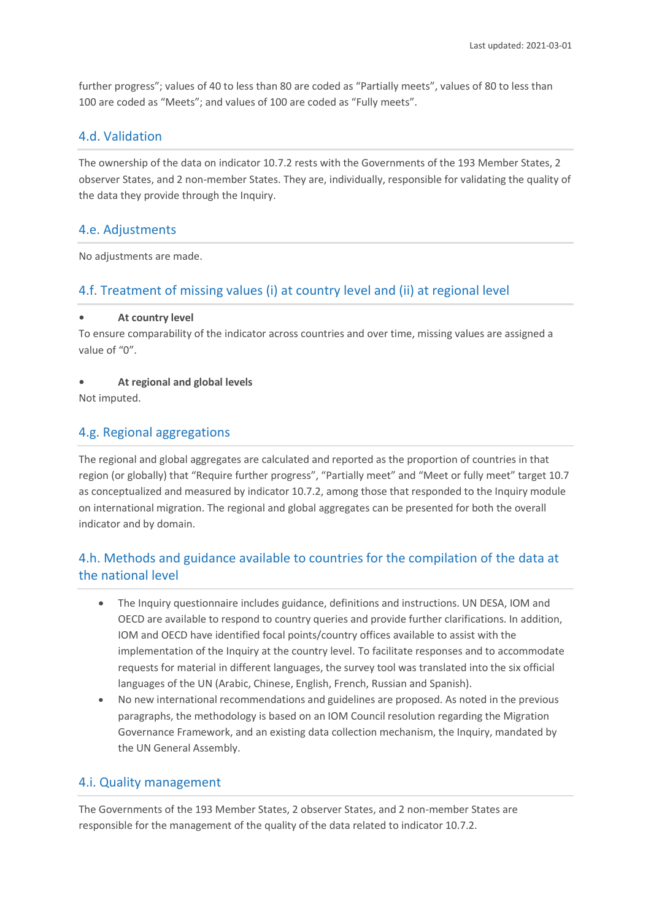further progress"; values of 40 to less than 80 are coded as "Partially meets", values of 80 to less than 100 are coded as "Meets"; and values of 100 are coded as "Fully meets".

## 4.d. Validation

The ownership of the data on indicator 10.7.2 rests with the Governments of the 193 Member States, 2 observer States, and 2 non-member States. They are, individually, responsible for validating the quality of the data they provide through the Inquiry.

## 4.e. Adjustments

No adjustments are made.

## 4.f. Treatment of missing values (i) at country level and (ii) at regional level

#### **• At country level**

To ensure comparability of the indicator across countries and over time, missing values are assigned a value of "0".

#### **• At regional and global levels**

Not imputed.

## 4.g. Regional aggregations

The regional and global aggregates are calculated and reported as the proportion of countries in that region (or globally) that "Require further progress", "Partially meet" and "Meet or fully meet" target 10.7 as conceptualized and measured by indicator 10.7.2, among those that responded to the Inquiry module on international migration. The regional and global aggregates can be presented for both the overall indicator and by domain.

## 4.h. Methods and guidance available to countries for the compilation of the data at the national level

- The Inquiry questionnaire includes guidance, definitions and instructions. UN DESA, IOM and OECD are available to respond to country queries and provide further clarifications. In addition, IOM and OECD have identified focal points/country offices available to assist with the implementation of the Inquiry at the country level. To facilitate responses and to accommodate requests for material in different languages, the survey tool was translated into the six official languages of the UN (Arabic, Chinese, English, French, Russian and Spanish).
- No new international recommendations and guidelines are proposed. As noted in the previous paragraphs, the methodology is based on an IOM Council resolution regarding the Migration Governance Framework, and an existing data collection mechanism, the Inquiry, mandated by the UN General Assembly.

### 4.i. Quality management

The Governments of the 193 Member States, 2 observer States, and 2 non-member States are responsible for the management of the quality of the data related to indicator 10.7.2.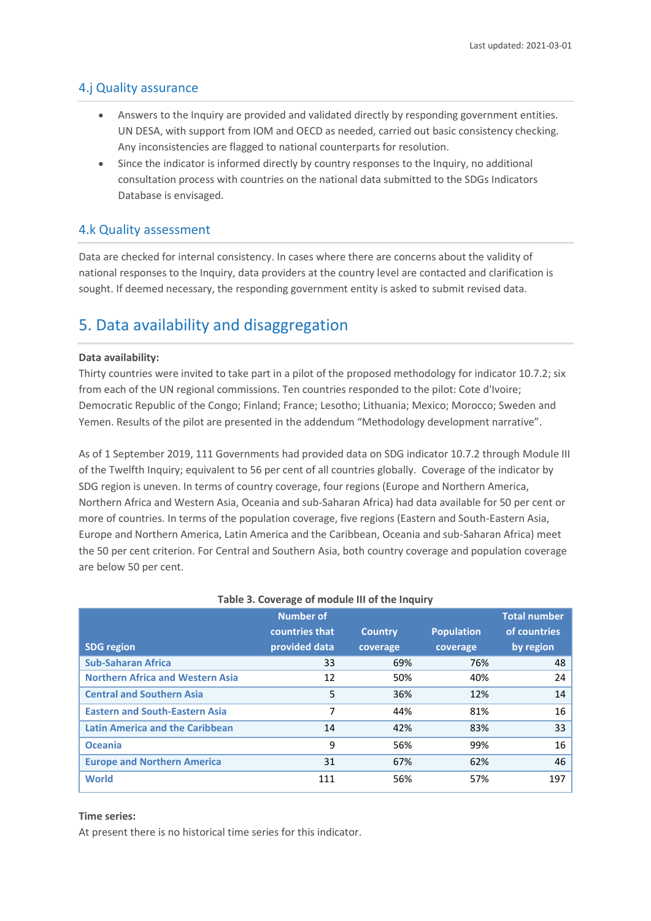### 4.j Quality assurance

- Answers to the Inquiry are provided and validated directly by responding government entities. UN DESA, with support from IOM and OECD as needed, carried out basic consistency checking. Any inconsistencies are flagged to national counterparts for resolution.
- Since the indicator is informed directly by country responses to the Inquiry, no additional consultation process with countries on the national data submitted to the SDGs Indicators Database is envisaged.

## 4.k Quality assessment

Data are checked for internal consistency. In cases where there are concerns about the validity of national responses to the Inquiry, data providers at the country level are contacted and clarification is sought. If deemed necessary, the responding government entity is asked to submit revised data.

# 5. Data availability and disaggregation

#### **Data availability:**

Thirty countries were invited to take part in a pilot of the proposed methodology for indicator 10.7.2; six from each of the UN regional commissions. Ten countries responded to the pilot: Cote d'Ivoire; Democratic Republic of the Congo; Finland; France; Lesotho; Lithuania; Mexico; Morocco; Sweden and Yemen. Results of the pilot are presented in the addendum "Methodology development narrative".

As of 1 September 2019, 111 Governments had provided data on SDG indicator 10.7.2 through Module III of the Twelfth Inquiry; equivalent to 56 per cent of all countries globally. Coverage of the indicator by SDG region is uneven. In terms of country coverage, four regions (Europe and Northern America, Northern Africa and Western Asia, Oceania and sub-Saharan Africa) had data available for 50 per cent or more of countries. In terms of the population coverage, five regions (Eastern and South-Eastern Asia, Europe and Northern America, Latin America and the Caribbean, Oceania and sub-Saharan Africa) meet the 50 per cent criterion. For Central and Southern Asia, both country coverage and population coverage are below 50 per cent.

| <b>TUNIC ST COTCHANG OF HIOGAIC III OF GIC HIGHII Y</b> |                  |                |                   |                     |  |  |  |  |
|---------------------------------------------------------|------------------|----------------|-------------------|---------------------|--|--|--|--|
|                                                         | <b>Number of</b> |                |                   | <b>Total number</b> |  |  |  |  |
|                                                         | countries that   | <b>Country</b> | <b>Population</b> | of countries        |  |  |  |  |
| <b>SDG</b> region                                       | provided data    | coverage       | coverage          | by region           |  |  |  |  |
| <b>Sub-Saharan Africa</b>                               | 33               | 69%            | 76%               | 48                  |  |  |  |  |
| <b>Northern Africa and Western Asia</b>                 | 12               | 50%            | 40%               | 24                  |  |  |  |  |
| <b>Central and Southern Asia</b>                        | 5                | 36%            | 12%               | 14                  |  |  |  |  |
| <b>Eastern and South-Eastern Asia</b>                   | 7                | 44%            | 81%               | 16                  |  |  |  |  |
| <b>Latin America and the Caribbean</b>                  | 14               | 42%            | 83%               | 33                  |  |  |  |  |
| <b>Oceania</b>                                          | 9                | 56%            | 99%               | 16                  |  |  |  |  |
| <b>Europe and Northern America</b>                      | 31               | 67%            | 62%               | 46                  |  |  |  |  |
| <b>World</b>                                            | 111              | 56%            | 57%               | 197                 |  |  |  |  |

#### **Table 3. Coverage of module III of the Inquiry**

#### **Time series:**

At present there is no historical time series for this indicator.